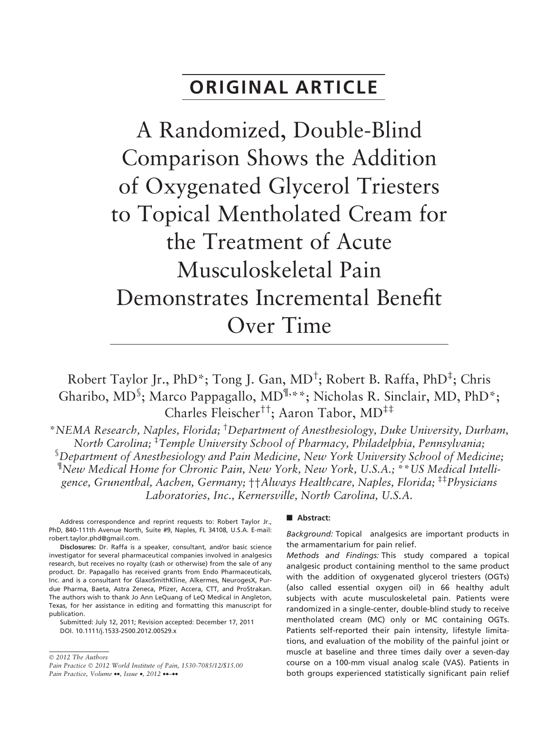# ORIGINAL ARTICLE

A Randomized, Double-Blind Comparison Shows the Addition of Oxygenated Glycerol Triesters to Topical Mentholated Cream for the Treatment of Acute Musculoskeletal Pain Demonstrates Incremental Benefit Over Time

Robert Taylor Jr., PhD\*; Tong J. Gan, MD<sup>†</sup>; Robert B. Raffa, PhD<sup>‡</sup>; Chris Gharibo, MD<sup>§</sup>; Marco Pappagallo, MD<sup>¶,\*</sup>\*; Nicholas R. Sinclair, MD, PhD<sup>\*</sup>; Charles Fleischer††; Aaron Tabor, MD‡‡

\*NEMA Research, Naples, Florida; <sup>†</sup>Department of Anesthesiology, Duke University, Durham, North Carolina; <sup>‡</sup>Temple University School of Pharmacy, Philadelphia, Pennsylvania; § Department of Anesthesiology and Pain Medicine, New York University School of Medicine; ¶ New Medical Home for Chronic Pain, New York, New York, U.S.A.; \*\*US Medical Intelligence, Grunenthal, Aachen, Germany; ††Always Healthcare, Naples, Florida; ‡‡Physicians Laboratories, Inc., Kernersville, North Carolina, U.S.A.

Address correspondence and reprint requests to: Robert Taylor Jr., PhD, 840-111th Avenue North, Suite #9, Naples, FL 34108, U.S.A. E-mail: robert.taylor.phd@gmail.com.

Disclosures: Dr. Raffa is a speaker, consultant, and/or basic science investigator for several pharmaceutical companies involved in analgesics research, but receives no royalty (cash or otherwise) from the sale of any product. Dr. Papagallo has received grants from Endo Pharmaceuticals, Inc. and is a consultant for GlaxoSmithKline, Alkermes, NeurogesX, Purdue Pharma, Baeta, Astra Zeneca, Pfizer, Accera, CTT, and ProStrakan. The authors wish to thank Jo Ann LeQuang of LeQ Medical in Angleton, Texas, for her assistance in editing and formatting this manuscript for publication.

Submitted: July 12, 2011; Revision accepted: December 17, 2011 DOI. 10.1111/j.1533-2500.2012.00529.x

© 2012 The Authors

#### **N** Abstract:

Background: Topical analgesics are important products in the armamentarium for pain relief.

Methods and Findings: This study compared a topical analgesic product containing menthol to the same product with the addition of oxygenated glycerol triesters (OGTs) (also called essential oxygen oil) in 66 healthy adult subjects with acute musculoskeletal pain. Patients were randomized in a single-center, double-blind study to receive mentholated cream (MC) only or MC containing OGTs. Patients self-reported their pain intensity, lifestyle limitations, and evaluation of the mobility of the painful joint or muscle at baseline and three times daily over a seven-day course on a 100-mm visual analog scale (VAS). Patients in both groups experienced statistically significant pain relief

Pain Practice © 2012 World Institute of Pain, 1530-7085/12/\$15.00 Pain Practice, Volume ••, Issue •, 2012 ••-••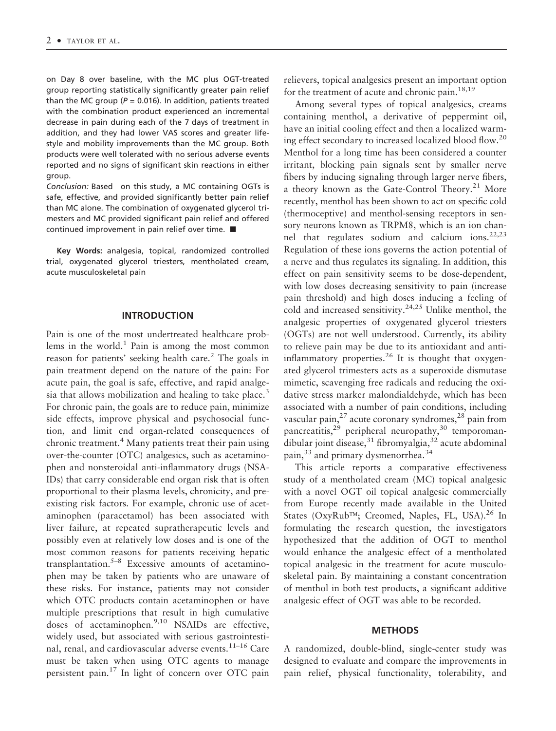on Day 8 over baseline, with the MC plus OGT-treated group reporting statistically significantly greater pain relief than the MC group ( $P = 0.016$ ). In addition, patients treated with the combination product experienced an incremental decrease in pain during each of the 7 days of treatment in addition, and they had lower VAS scores and greater lifestyle and mobility improvements than the MC group. Both products were well tolerated with no serious adverse events reported and no signs of significant skin reactions in either group.

Conclusion: Based on this study, a MC containing OGTs is safe, effective, and provided significantly better pain relief than MC alone. The combination of oxygenated glycerol trimesters and MC provided significant pain relief and offered continued improvement in pain relief over time.  $\blacksquare$ 

Key Words: analgesia, topical, randomized controlled trial, oxygenated glycerol triesters, mentholated cream, acute musculoskeletal pain

## INTRODUCTION

Pain is one of the most undertreated healthcare problems in the world. $<sup>1</sup>$  Pain is among the most common</sup> reason for patients' seeking health care.<sup>2</sup> The goals in pain treatment depend on the nature of the pain: For acute pain, the goal is safe, effective, and rapid analgesia that allows mobilization and healing to take place.<sup>3</sup> For chronic pain, the goals are to reduce pain, minimize side effects, improve physical and psychosocial function, and limit end organ-related consequences of chronic treatment.<sup>4</sup> Many patients treat their pain using over-the-counter (OTC) analgesics, such as acetaminophen and nonsteroidal anti-inflammatory drugs (NSA-IDs) that carry considerable end organ risk that is often proportional to their plasma levels, chronicity, and preexisting risk factors. For example, chronic use of acetaminophen (paracetamol) has been associated with liver failure, at repeated supratherapeutic levels and possibly even at relatively low doses and is one of the most common reasons for patients receiving hepatic transplantation.<sup>5–8</sup> Excessive amounts of acetaminophen may be taken by patients who are unaware of these risks. For instance, patients may not consider which OTC products contain acetaminophen or have multiple prescriptions that result in high cumulative doses of acetaminophen.<sup>9,10</sup> NSAIDs are effective, widely used, but associated with serious gastrointestinal, renal, and cardiovascular adverse events.<sup>11-16</sup> Care must be taken when using OTC agents to manage persistent pain.<sup>17</sup> In light of concern over OTC pain

relievers, topical analgesics present an important option for the treatment of acute and chronic pain.<sup>18,19</sup>

Among several types of topical analgesics, creams containing menthol, a derivative of peppermint oil, have an initial cooling effect and then a localized warming effect secondary to increased localized blood flow.<sup>20</sup> Menthol for a long time has been considered a counter irritant, blocking pain signals sent by smaller nerve fibers by inducing signaling through larger nerve fibers, a theory known as the Gate-Control Theory.<sup>21</sup> More recently, menthol has been shown to act on specific cold (thermoceptive) and menthol-sensing receptors in sensory neurons known as TRPM8, which is an ion channel that regulates sodium and calcium ions. $22,23$ Regulation of these ions governs the action potential of a nerve and thus regulates its signaling. In addition, this effect on pain sensitivity seems to be dose-dependent, with low doses decreasing sensitivity to pain (increase pain threshold) and high doses inducing a feeling of cold and increased sensitivity.<sup>24,25</sup> Unlike menthol, the analgesic properties of oxygenated glycerol triesters (OGTs) are not well understood. Currently, its ability to relieve pain may be due to its antioxidant and antiinflammatory properties.<sup>26</sup> It is thought that oxygenated glycerol trimesters acts as a superoxide dismutase mimetic, scavenging free radicals and reducing the oxidative stress marker malondialdehyde, which has been associated with a number of pain conditions, including vascular pain,<sup>27</sup> acute coronary syndromes,<sup>28</sup> pain from pancreatitis,<sup>29</sup> peripheral neuropathy,<sup>30</sup> temporomandibular joint disease,  $31$  fibromyalgia,  $32$  acute abdominal pain,<sup>33</sup> and primary dysmenorrhea.<sup>34</sup>

This article reports a comparative effectiveness study of a mentholated cream (MC) topical analgesic with a novel OGT oil topical analgesic commercially from Europe recently made available in the United States (OxyRub<sup>TM</sup>; Creomed, Naples, FL, USA).<sup>26</sup> In formulating the research question, the investigators hypothesized that the addition of OGT to menthol would enhance the analgesic effect of a mentholated topical analgesic in the treatment for acute musculoskeletal pain. By maintaining a constant concentration of menthol in both test products, a significant additive analgesic effect of OGT was able to be recorded.

#### **METHODS**

A randomized, double-blind, single-center study was designed to evaluate and compare the improvements in pain relief, physical functionality, tolerability, and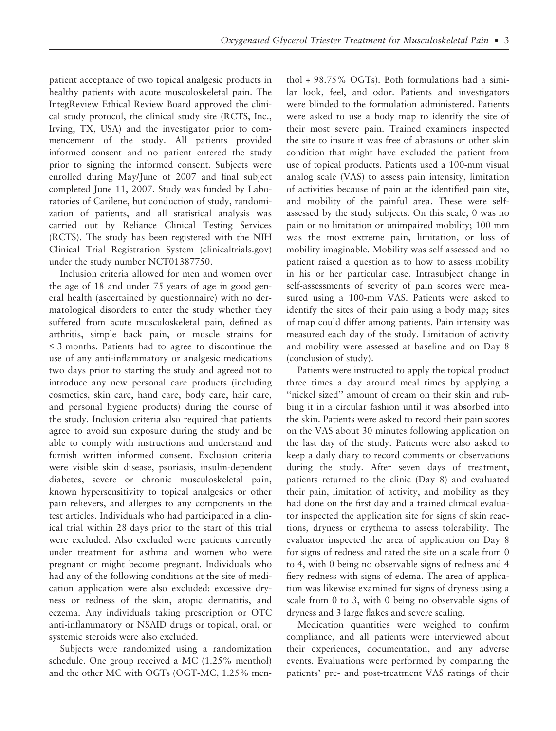patient acceptance of two topical analgesic products in healthy patients with acute musculoskeletal pain. The IntegReview Ethical Review Board approved the clinical study protocol, the clinical study site (RCTS, Inc., Irving, TX, USA) and the investigator prior to commencement of the study. All patients provided informed consent and no patient entered the study prior to signing the informed consent. Subjects were enrolled during May/June of 2007 and final subject completed June 11, 2007. Study was funded by Laboratories of Carilene, but conduction of study, randomization of patients, and all statistical analysis was carried out by Reliance Clinical Testing Services (RCTS). The study has been registered with the NIH Clinical Trial Registration System (clinicaltrials.gov) under the study number NCT01387750.

Inclusion criteria allowed for men and women over the age of 18 and under 75 years of age in good general health (ascertained by questionnaire) with no dermatological disorders to enter the study whether they suffered from acute musculoskeletal pain, defined as arthritis, simple back pain, or muscle strains for  $\leq$  3 months. Patients had to agree to discontinue the use of any anti-inflammatory or analgesic medications two days prior to starting the study and agreed not to introduce any new personal care products (including cosmetics, skin care, hand care, body care, hair care, and personal hygiene products) during the course of the study. Inclusion criteria also required that patients agree to avoid sun exposure during the study and be able to comply with instructions and understand and furnish written informed consent. Exclusion criteria were visible skin disease, psoriasis, insulin-dependent diabetes, severe or chronic musculoskeletal pain, known hypersensitivity to topical analgesics or other pain relievers, and allergies to any components in the test articles. Individuals who had participated in a clinical trial within 28 days prior to the start of this trial were excluded. Also excluded were patients currently under treatment for asthma and women who were pregnant or might become pregnant. Individuals who had any of the following conditions at the site of medication application were also excluded: excessive dryness or redness of the skin, atopic dermatitis, and eczema. Any individuals taking prescription or OTC anti-inflammatory or NSAID drugs or topical, oral, or systemic steroids were also excluded.

Subjects were randomized using a randomization schedule. One group received a MC (1.25% menthol) and the other MC with OGTs (OGT-MC, 1.25% men-

thol + 98.75% OGTs). Both formulations had a similar look, feel, and odor. Patients and investigators were blinded to the formulation administered. Patients were asked to use a body map to identify the site of their most severe pain. Trained examiners inspected the site to insure it was free of abrasions or other skin condition that might have excluded the patient from use of topical products. Patients used a 100-mm visual analog scale (VAS) to assess pain intensity, limitation of activities because of pain at the identified pain site, and mobility of the painful area. These were selfassessed by the study subjects. On this scale, 0 was no pain or no limitation or unimpaired mobility; 100 mm was the most extreme pain, limitation, or loss of mobility imaginable. Mobility was self-assessed and no patient raised a question as to how to assess mobility in his or her particular case. Intrasubject change in self-assessments of severity of pain scores were measured using a 100-mm VAS. Patients were asked to identify the sites of their pain using a body map; sites of map could differ among patients. Pain intensity was measured each day of the study. Limitation of activity and mobility were assessed at baseline and on Day 8 (conclusion of study).

Patients were instructed to apply the topical product three times a day around meal times by applying a "nickel sized" amount of cream on their skin and rubbing it in a circular fashion until it was absorbed into the skin. Patients were asked to record their pain scores on the VAS about 30 minutes following application on the last day of the study. Patients were also asked to keep a daily diary to record comments or observations during the study. After seven days of treatment, patients returned to the clinic (Day 8) and evaluated their pain, limitation of activity, and mobility as they had done on the first day and a trained clinical evaluator inspected the application site for signs of skin reactions, dryness or erythema to assess tolerability. The evaluator inspected the area of application on Day 8 for signs of redness and rated the site on a scale from 0 to 4, with 0 being no observable signs of redness and 4 fiery redness with signs of edema. The area of application was likewise examined for signs of dryness using a scale from 0 to 3, with 0 being no observable signs of dryness and 3 large flakes and severe scaling.

Medication quantities were weighed to confirm compliance, and all patients were interviewed about their experiences, documentation, and any adverse events. Evaluations were performed by comparing the patients' pre- and post-treatment VAS ratings of their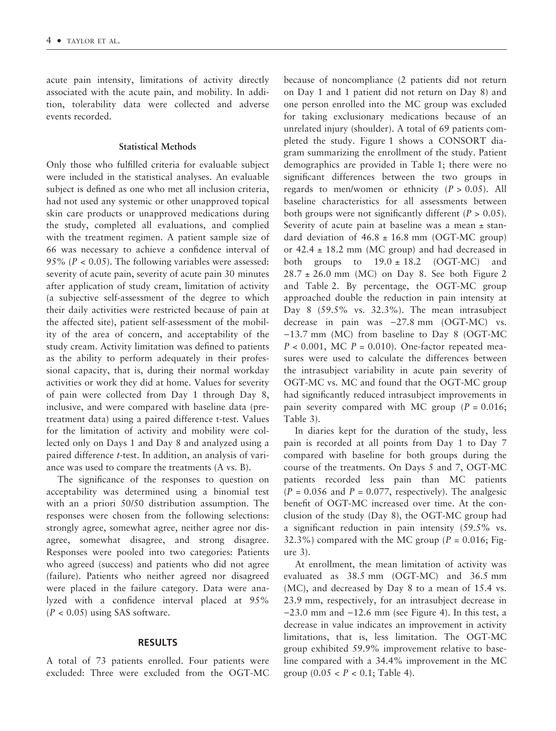acute pain intensity, limitations of activity directly associated with the acute pain, and mobility. In addition, tolerability data were collected and adverse events recorded.

# Statistical Methods

Only those who fulfilled criteria for evaluable subject were included in the statistical analyses. An evaluable subject is defined as one who met all inclusion criteria, had not used any systemic or other unapproved topical skin care products or unapproved medications during the study, completed all evaluations, and complied with the treatment regimen. A patient sample size of 66 was necessary to achieve a confidence interval of 95% ( $P < 0.05$ ). The following variables were assessed: severity of acute pain, severity of acute pain 30 minutes after application of study cream, limitation of activity (a subjective self-assessment of the degree to which their daily activities were restricted because of pain at the affected site), patient self-assessment of the mobility of the area of concern, and acceptability of the study cream. Activity limitation was defined to patients as the ability to perform adequately in their professional capacity, that is, during their normal workday activities or work they did at home. Values for severity of pain were collected from Day 1 through Day 8, inclusive, and were compared with baseline data (pretreatment data) using a paired difference t-test. Values for the limitation of activity and mobility were collected only on Days 1 and Day 8 and analyzed using a paired difference t-test. In addition, an analysis of variance was used to compare the treatments (A vs. B).

The significance of the responses to question on acceptability was determined using a binomial test with an a priori 50/50 distribution assumption. The responses were chosen from the following selections: strongly agree, somewhat agree, neither agree nor disagree, somewhat disagree, and strong disagree. Responses were pooled into two categories: Patients who agreed (success) and patients who did not agree (failure). Patients who neither agreed nor disagreed were placed in the failure category. Data were analyzed with a confidence interval placed at 95%  $(P < 0.05)$  using SAS software.

#### RESULTS

A total of 73 patients enrolled. Four patients were excluded: Three were excluded from the OGT-MC because of noncompliance (2 patients did not return on Day 1 and 1 patient did not return on Day 8) and one person enrolled into the MC group was excluded for taking exclusionary medications because of an unrelated injury (shoulder). A total of 69 patients completed the study. Figure 1 shows a CONSORT diagram summarizing the enrollment of the study. Patient demographics are provided in Table 1; there were no significant differences between the two groups in regards to men/women or ethnicity  $(P > 0.05)$ . All baseline characteristics for all assessments between both groups were not significantly different  $(P > 0.05)$ . Severity of acute pain at baseline was a mean  $\pm$  standard deviation of  $46.8 \pm 16.8$  mm (OGT-MC group) or  $42.4 \pm 18.2$  mm (MC group) and had decreased in both groups to  $19.0 \pm 18.2$  (OGT-MC) and  $28.7 \pm 26.0$  mm (MC) on Day 8. See both Figure 2 and Table 2. By percentage, the OGT-MC group approached double the reduction in pain intensity at Day 8 (59.5% vs. 32.3%). The mean intrasubject decrease in pain was  $-27.8$  mm (OGT-MC) vs.  $-13.7$  mm (MC) from baseline to Day 8 (OGT-MC  $P < 0.001$ , MC  $P = 0.010$ ). One-factor repeated measures were used to calculate the differences between the intrasubject variability in acute pain severity of OGT-MC vs. MC and found that the OGT-MC group had significantly reduced intrasubject improvements in pain severity compared with MC group  $(P = 0.016;$ Table 3).

In diaries kept for the duration of the study, less pain is recorded at all points from Day 1 to Day 7 compared with baseline for both groups during the course of the treatments. On Days 5 and 7, OGT-MC patients recorded less pain than MC patients  $(P = 0.056$  and  $P = 0.077$ , respectively). The analgesic benefit of OGT-MC increased over time. At the conclusion of the study (Day 8), the OGT-MC group had a significant reduction in pain intensity (59.5% vs. 32.3%) compared with the MC group ( $P = 0.016$ ; Figure 3).

At enrollment, the mean limitation of activity was evaluated as 38.5 mm (OGT-MC) and 36.5 mm (MC), and decreased by Day 8 to a mean of 15.4 vs. 23.9 mm, respectively, for an intrasubject decrease in  $-23.0$  mm and  $-12.6$  mm (see Figure 4). In this test, a decrease in value indicates an improvement in activity limitations, that is, less limitation. The OGT-MC group exhibited 59.9% improvement relative to baseline compared with a 34.4% improvement in the MC group  $(0.05 < P < 0.1$ ; Table 4).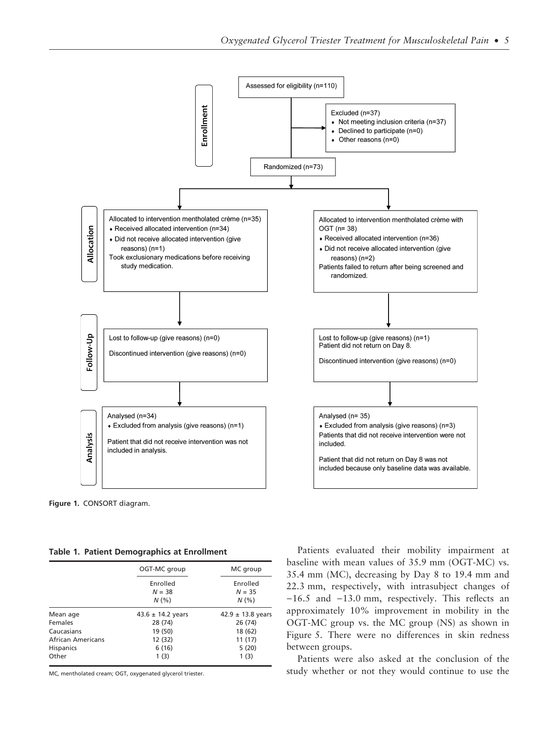

Figure 1. CONSORT diagram.

|  |  | Table 1. Patient Demographics at Enrollment |  |  |
|--|--|---------------------------------------------|--|--|
|--|--|---------------------------------------------|--|--|

|                          | OGT-MC group                | MC group                    |  |
|--------------------------|-----------------------------|-----------------------------|--|
|                          | Enrolled<br>$N = 38$<br>N(% | Enrolled<br>$N = 35$<br>N(% |  |
| Mean age                 | $43.6 \pm 14.2$ years       | $42.9 \pm 13.8$ years       |  |
| Females                  | 28 (74)                     | 26 (74)                     |  |
| Caucasians               | 19 (50)                     | 18 (62)                     |  |
| <b>African Americans</b> | 12 (32)                     | 11 (17)                     |  |
| Hispanics                | 6(16)                       | 5(20)                       |  |
| Other                    | 1(3)                        | 1(3)                        |  |

MC, mentholated cream; OGT, oxygenated glycerol triester.

Patients evaluated their mobility impairment at baseline with mean values of 35.9 mm (OGT-MC) vs. 35.4 mm (MC), decreasing by Day 8 to 19.4 mm and 22.3 mm, respectively, with intrasubject changes of  $-16.5$  and  $-13.0$  mm, respectively. This reflects an approximately 10% improvement in mobility in the OGT-MC group vs. the MC group (NS) as shown in Figure 5. There were no differences in skin redness between groups.

Patients were also asked at the conclusion of the study whether or not they would continue to use the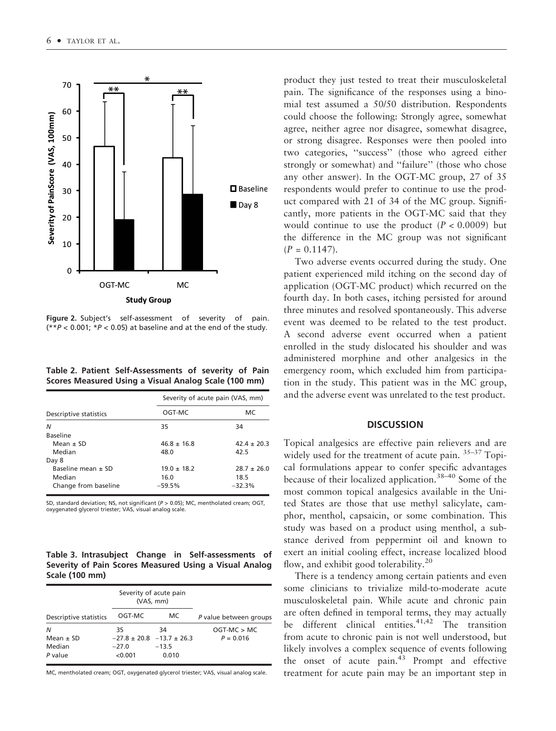

Figure 2. Subject's self-assessment of severity of pain.  $(*p < 0.001; *p < 0.05)$  at baseline and at the end of the study.

Table 2. Patient Self-Assessments of severity of Pain Scores Measured Using a Visual Analog Scale (100 mm)

|                                                               | Severity of acute pain (VAS, mm)    |                                     |
|---------------------------------------------------------------|-------------------------------------|-------------------------------------|
| Descriptive statistics                                        | OGT-MC                              | MC.                                 |
| N<br><b>Baseline</b>                                          | 35                                  | 34                                  |
| Mean $\pm$ SD<br>Median                                       | $46.8 \pm 16.8$<br>48.0             | $42.4 + 20.3$<br>42.5               |
| Day 8<br>Baseline mean ± SD<br>Median<br>Change from baseline | $19.0 \pm 18.2$<br>16.0<br>$-59.5%$ | $28.7 \pm 26.0$<br>18.5<br>$-32.3%$ |

SD, standard deviation; NS, not significant  $(P > 0.05)$ ; MC, mentholated cream; OGT, oxygenated glycerol triester; VAS, visual analog scale.

Table 3. Intrasubject Change in Self-assessments of Severity of Pain Scores Measured Using a Visual Analog Scale (100 mm)

| Severity of acute pain<br>(VAS, mm)     |                          |                                                             |                              |
|-----------------------------------------|--------------------------|-------------------------------------------------------------|------------------------------|
| Descriptive statistics                  | OGT-MC                   | МC                                                          | P value between groups       |
| N<br>Mean $\pm$ SD<br>Median<br>P value | 35<br>$-27.0$<br>< 0.001 | 34<br>$-27.8 \pm 20.8$ $-13.7 \pm 26.3$<br>$-13.5$<br>0.010 | $OGT-MC > MC$<br>$P = 0.016$ |

MC, mentholated cream; OGT, oxygenated glycerol triester; VAS, visual analog scale.

product they just tested to treat their musculoskeletal pain. The significance of the responses using a binomial test assumed a 50/50 distribution. Respondents could choose the following: Strongly agree, somewhat agree, neither agree nor disagree, somewhat disagree, or strong disagree. Responses were then pooled into two categories, ''success'' (those who agreed either strongly or somewhat) and ''failure'' (those who chose any other answer). In the OGT-MC group, 27 of 35 respondents would prefer to continue to use the product compared with 21 of 34 of the MC group. Significantly, more patients in the OGT-MC said that they would continue to use the product  $(P < 0.0009)$  but the difference in the MC group was not significant  $(P = 0.1147)$ .

Two adverse events occurred during the study. One patient experienced mild itching on the second day of application (OGT-MC product) which recurred on the fourth day. In both cases, itching persisted for around three minutes and resolved spontaneously. This adverse event was deemed to be related to the test product. A second adverse event occurred when a patient enrolled in the study dislocated his shoulder and was administered morphine and other analgesics in the emergency room, which excluded him from participation in the study. This patient was in the MC group, and the adverse event was unrelated to the test product.

# **DISCUSSION**

Topical analgesics are effective pain relievers and are widely used for the treatment of acute pain.  $35-37$  Topical formulations appear to confer specific advantages because of their localized application.<sup>38-40</sup> Some of the most common topical analgesics available in the United States are those that use methyl salicylate, camphor, menthol, capsaicin, or some combination. This study was based on a product using menthol, a substance derived from peppermint oil and known to exert an initial cooling effect, increase localized blood flow, and exhibit good tolerability. $^{20}$ 

There is a tendency among certain patients and even some clinicians to trivialize mild-to-moderate acute musculoskeletal pain. While acute and chronic pain are often defined in temporal terms, they may actually be different clinical entities.<sup>41,42</sup> The transition from acute to chronic pain is not well understood, but likely involves a complex sequence of events following the onset of acute pain.<sup>43</sup> Prompt and effective treatment for acute pain may be an important step in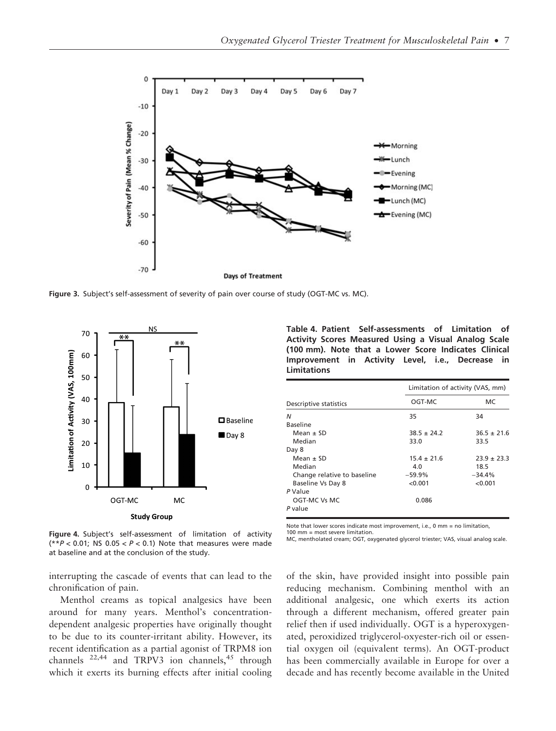

Figure 3. Subject's self-assessment of severity of pain over course of study (OGT-MC vs. MC).



Figure 4. Subject's self-assessment of limitation of activity  $(*p < 0.01;$  NS  $0.05 < P < 0.1)$  Note that measures were made at baseline and at the conclusion of the study.

interrupting the cascade of events that can lead to the chronification of pain.

Menthol creams as topical analgesics have been around for many years. Menthol's concentrationdependent analgesic properties have originally thought to be due to its counter-irritant ability. However, its recent identification as a partial agonist of TRPM8 ion channels  $22,44$  and TRPV3 ion channels,  $45$  through which it exerts its burning effects after initial cooling Table 4. Patient Self-assessments of Limitation of Activity Scores Measured Using a Visual Analog Scale (100 mm). Note that a Lower Score Indicates Clinical Improvement in Activity Level, i.e., Decrease in Limitations

|                             | Limitation of activity (VAS, mm) |                 |  |
|-----------------------------|----------------------------------|-----------------|--|
| Descriptive statistics      | OGT-MC                           | MC.             |  |
| N                           | 35                               | 34              |  |
| <b>Baseline</b>             |                                  |                 |  |
| Mean $\pm$ SD               | $38.5 \pm 24.2$                  | $36.5 \pm 21.6$ |  |
| Median                      | 33.0                             | 33.5            |  |
| Day 8                       |                                  |                 |  |
| $Mean + SD$                 | $15.4 + 21.6$                    | $23.9 \pm 23.3$ |  |
| Median                      | 4.0                              | 18.5            |  |
| Change relative to baseline | $-59.9%$                         | $-34.4%$        |  |
| Baseline Vs Day 8           | < 0.001                          | < 0.001         |  |
| P Value                     |                                  |                 |  |
| OGT-MC Vs MC                | 0.086                            |                 |  |
| P value                     |                                  |                 |  |

Note that lower scores indicate most improvement, i.e., 0 mm = no limitation, 100 mm = most severe limitation

MC, mentholated cream; OGT, oxygenated glycerol triester; VAS, visual analog scale.

of the skin, have provided insight into possible pain reducing mechanism. Combining menthol with an additional analgesic, one which exerts its action through a different mechanism, offered greater pain relief then if used individually. OGT is a hyperoxygenated, peroxidized triglycerol-oxyester-rich oil or essential oxygen oil (equivalent terms). An OGT-product has been commercially available in Europe for over a decade and has recently become available in the United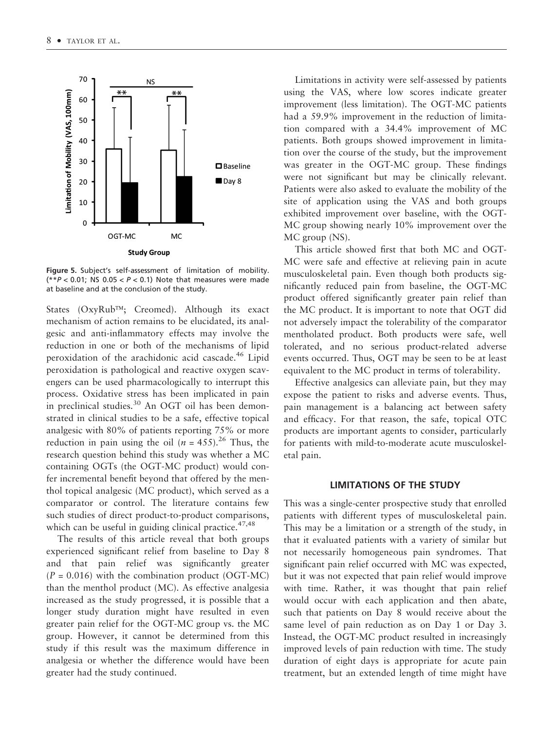

Figure 5. Subject's self-assessment of limitation of mobility.  $(*p < 0.01;$  NS  $0.05 < P < 0.1)$  Note that measures were made at baseline and at the conclusion of the study.

States (OxyRub<sup>™</sup>; Creomed). Although its exact mechanism of action remains to be elucidated, its analgesic and anti-inflammatory effects may involve the reduction in one or both of the mechanisms of lipid peroxidation of the arachidonic acid cascade.<sup>46</sup> Lipid peroxidation is pathological and reactive oxygen scavengers can be used pharmacologically to interrupt this process. Oxidative stress has been implicated in pain in preclinical studies.<sup>30</sup> An OGT oil has been demonstrated in clinical studies to be a safe, effective topical analgesic with 80% of patients reporting 75% or more reduction in pain using the oil ( $n = 455$ ).<sup>26</sup> Thus, the research question behind this study was whether a MC containing OGTs (the OGT-MC product) would confer incremental benefit beyond that offered by the menthol topical analgesic (MC product), which served as a comparator or control. The literature contains few such studies of direct product-to-product comparisons, which can be useful in guiding clinical practice. $47,48$ 

The results of this article reveal that both groups experienced significant relief from baseline to Day 8 and that pain relief was significantly greater  $(P = 0.016)$  with the combination product (OGT-MC) than the menthol product (MC). As effective analgesia increased as the study progressed, it is possible that a longer study duration might have resulted in even greater pain relief for the OGT-MC group vs. the MC group. However, it cannot be determined from this study if this result was the maximum difference in analgesia or whether the difference would have been greater had the study continued.

Limitations in activity were self-assessed by patients using the VAS, where low scores indicate greater improvement (less limitation). The OGT-MC patients had a 59.9% improvement in the reduction of limitation compared with a 34.4% improvement of MC patients. Both groups showed improvement in limitation over the course of the study, but the improvement was greater in the OGT-MC group. These findings were not significant but may be clinically relevant. Patients were also asked to evaluate the mobility of the site of application using the VAS and both groups exhibited improvement over baseline, with the OGT-MC group showing nearly 10% improvement over the MC group (NS).

This article showed first that both MC and OGT-MC were safe and effective at relieving pain in acute musculoskeletal pain. Even though both products significantly reduced pain from baseline, the OGT-MC product offered significantly greater pain relief than the MC product. It is important to note that OGT did not adversely impact the tolerability of the comparator mentholated product. Both products were safe, well tolerated, and no serious product-related adverse events occurred. Thus, OGT may be seen to be at least equivalent to the MC product in terms of tolerability.

Effective analgesics can alleviate pain, but they may expose the patient to risks and adverse events. Thus, pain management is a balancing act between safety and efficacy. For that reason, the safe, topical OTC products are important agents to consider, particularly for patients with mild-to-moderate acute musculoskeletal pain.

## LIMITATIONS OF THE STUDY

This was a single-center prospective study that enrolled patients with different types of musculoskeletal pain. This may be a limitation or a strength of the study, in that it evaluated patients with a variety of similar but not necessarily homogeneous pain syndromes. That significant pain relief occurred with MC was expected, but it was not expected that pain relief would improve with time. Rather, it was thought that pain relief would occur with each application and then abate, such that patients on Day 8 would receive about the same level of pain reduction as on Day 1 or Day 3. Instead, the OGT-MC product resulted in increasingly improved levels of pain reduction with time. The study duration of eight days is appropriate for acute pain treatment, but an extended length of time might have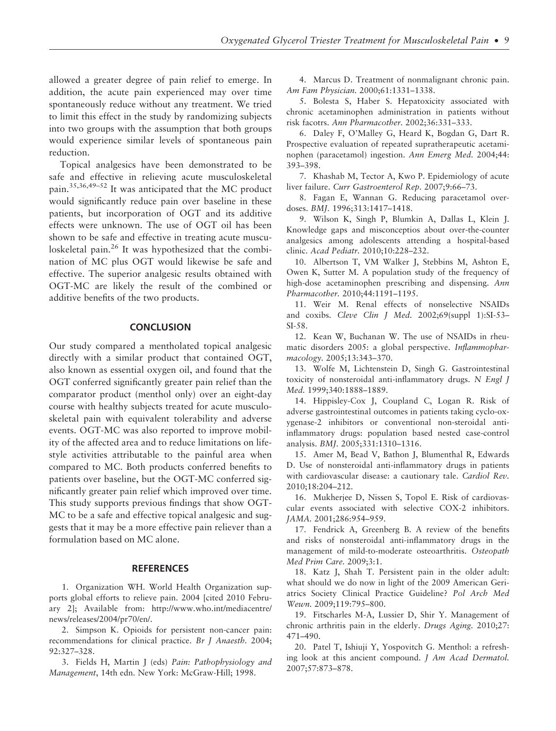allowed a greater degree of pain relief to emerge. In addition, the acute pain experienced may over time spontaneously reduce without any treatment. We tried to limit this effect in the study by randomizing subjects into two groups with the assumption that both groups would experience similar levels of spontaneous pain reduction.

Topical analgesics have been demonstrated to be safe and effective in relieving acute musculoskeletal pain.35,36,49–52 It was anticipated that the MC product would significantly reduce pain over baseline in these patients, but incorporation of OGT and its additive effects were unknown. The use of OGT oil has been shown to be safe and effective in treating acute musculoskeletal pain.<sup>26</sup> It was hypothesized that the combination of MC plus OGT would likewise be safe and effective. The superior analgesic results obtained with OGT-MC are likely the result of the combined or additive benefits of the two products.

## **CONCLUSION**

Our study compared a mentholated topical analgesic directly with a similar product that contained OGT, also known as essential oxygen oil, and found that the OGT conferred significantly greater pain relief than the comparator product (menthol only) over an eight-day course with healthy subjects treated for acute musculoskeletal pain with equivalent tolerability and adverse events. OGT-MC was also reported to improve mobility of the affected area and to reduce limitations on lifestyle activities attributable to the painful area when compared to MC. Both products conferred benefits to patients over baseline, but the OGT-MC conferred significantly greater pain relief which improved over time. This study supports previous findings that show OGT-MC to be a safe and effective topical analgesic and suggests that it may be a more effective pain reliever than a formulation based on MC alone.

## **REFERENCES**

1. Organization WH. World Health Organization supports global efforts to relieve pain. 2004 [cited 2010 February 2]; Available from: http://www.who.int/mediacentre/ news/releases/2004/pr70/en/.

2. Simpson K. Opioids for persistent non-cancer pain: recommendations for clinical practice. Br J Anaesth. 2004; 92:327–328.

3. Fields H, Martin J (eds) Pain: Pathophysiology and Management, 14th edn. New York: McGraw-Hill; 1998.

4. Marcus D. Treatment of nonmalignant chronic pain. Am Fam Physician. 2000;61:1331–1338.

5. Bolesta S, Haber S. Hepatoxicity associated with chronic acetaminophen administration in patients without risk facotrs. Ann Pharmacother. 2002;36:331–333.

6. Daley F, O'Malley G, Heard K, Bogdan G, Dart R. Prospective evaluation of repeated supratherapeutic acetaminophen (paracetamol) ingestion. Ann Emerg Med. 2004;44: 393–398.

7. Khashab M, Tector A, Kwo P. Epidemiology of acute liver failure. Curr Gastroenterol Rep. 2007;9:66–73.

8. Fagan E, Wannan G. Reducing paracetamol overdoses. BMJ. 1996;313:1417–1418.

9. Wilson K, Singh P, Blumkin A, Dallas L, Klein J. Knowledge gaps and misconceptios about over-the-counter analgesics among adolescents attending a hospital-based clinic. Acad Pediatr. 2010;10:228–232.

10. Albertson T, VM Walker J, Stebbins M, Ashton E, Owen K, Sutter M. A population study of the frequency of high-dose acetaminophen prescribing and dispensing. Ann Pharmacother. 2010;44:1191–1195.

11. Weir M. Renal effects of nonselective NSAIDs and coxibs. Cleve Clin J Med. 2002;69(suppl 1):SI-53– SI-58.

12. Kean W, Buchanan W. The use of NSAIDs in rheumatic disorders 2005: a global perspective. Inflammopharmacology. 2005;13:343–370.

13. Wolfe M, Lichtenstein D, Singh G. Gastrointestinal toxicity of nonsteroidal anti-inflammatory drugs. N Engl J Med. 1999;340:1888–1889.

14. Hippisley-Cox J, Coupland C, Logan R. Risk of adverse gastrointestinal outcomes in patients taking cyclo-oxygenase-2 inhibitors or conventional non-steroidal antiinflammatory drugs: population based nested case-control analysis. BMJ. 2005;331:1310–1316.

15. Amer M, Bead V, Bathon J, Blumenthal R, Edwards D. Use of nonsteroidal anti-inflammatory drugs in patients with cardiovascular disease: a cautionary tale. Cardiol Rev. 2010;18:204–212.

16. Mukherjee D, Nissen S, Topol E. Risk of cardiovascular events associated with selective COX-2 inhibitors. JAMA. 2001;286:954–959.

17. Fendrick A, Greenberg B. A review of the benefits and risks of nonsteroidal anti-inflammatory drugs in the management of mild-to-moderate osteoarthritis. Osteopath Med Prim Care. 2009;3:1.

18. Katz J, Shah T. Persistent pain in the older adult: what should we do now in light of the 2009 American Geriatrics Society Clinical Practice Guideline? Pol Arch Med Wewn. 2009;119:795–800.

19. Fitscharles M-A, Lussier D, Shir Y. Management of chronic arthritis pain in the elderly. Drugs Aging. 2010;27: 471–490.

20. Patel T, Ishiuji Y, Yospovitch G. Menthol: a refreshing look at this ancient compound. J Am Acad Dermatol. 2007;57:873–878.